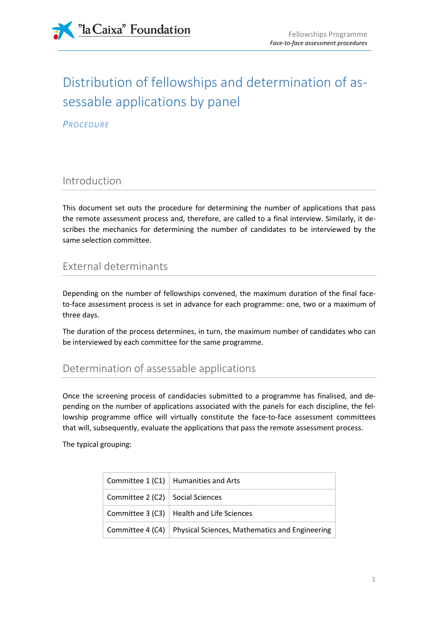

# Distribution of fellowships and determination of assessable applications by panel

**PROCEDURE** 

## Introduction

This document set outs the procedure for determining the number of applications that pass the remote assessment process and, therefore, are called to a final interview. Similarly, it describes the mechanics for determining the number of candidates to be interviewed by the same selection committee.

## External determinants

Depending on the number of fellowships convened, the maximum duration of the final faceto-face assessment process is set in advance for each programme: one, two or a maximum of three days.

The duration of the process determines, in turn, the maximum number of candidates who can be interviewed by each committee for the same programme.

## Determination of assessable applications

Once the screening process of candidacies submitted to a programme has finalised, and depending on the number of applications associated with the panels for each discipline, the fellowship programme office will virtually constitute the face-to-face assessment committees that will, subsequently, evaluate the applications that pass the remote assessment process.

The typical grouping:

|                                  | Committee $1 (C1)$ Humanities and Arts                            |
|----------------------------------|-------------------------------------------------------------------|
| Committee 2 (C2) Social Sciences |                                                                   |
|                                  | Committee $3$ (C3)   Health and Life Sciences                     |
|                                  | Committee 4 (C4)   Physical Sciences, Mathematics and Engineering |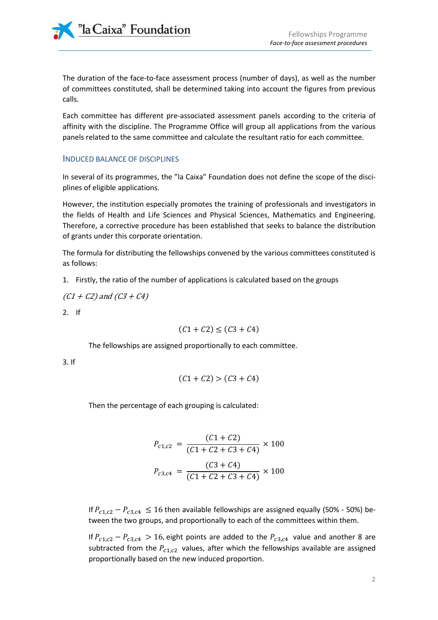"la Caixa" Foundation

The duration of the face-to-face assessment process (number of days), as well as the number of committees constituted, shall be determined taking into account the figures from previous calls.

Each committee has different pre-associated assessment panels according to the criteria of affinity with the discipline. The Programme Office will group all applications from the various panels related to the same committee and calculate the resultant ratio for each committee.

#### INDUCED BALANCE OF DISCIPLINES

In several of its programmes, the "la Caixa" Foundation does not define the scope of the disciplines of eligible applications.

However, the institution especially promotes the training of professionals and investigators in the fields of Health and Life Sciences and Physical Sciences, Mathematics and Engineering. Therefore, a corrective procedure has been established that seeks to balance the distribution of grants under this corporate orientation.

The formula for distributing the fellowships convened by the various committees constituted is as follows:

1. Firstly, the ratio of the number of applications is calculated based on the groups

$$
(C1 + C2) \text{ and } (C3 + C4)
$$

2. If

$$
(C1 + C2) \le (C3 + C4)
$$

The fellowships are assigned proportionally to each committee.

3. If

$$
(C1 + C2) > (C3 + C4)
$$

Then the percentage of each grouping is calculated:

$$
P_{c1,c2} = \frac{(C1 + C2)}{(C1 + C2 + C3 + C4)} \times 100
$$

$$
P_{c3,c4} = \frac{(C3 + C4)}{(C1 + C2 + C3 + C4)} \times 100
$$

If  $P_{c1,c2} - P_{c3,c4} \le 16$  then available fellowships are assigned equally (50% - 50%) between the two groups, and proportionally to each of the committees within them.

If  $P_{c1,c2} - P_{c3,c4} > 16$ , eight points are added to the  $P_{c3,c4}$  value and another 8 are subtracted from the  $P_{c1,c2}$  values, after which the fellowships available are assigned proportionally based on the new induced proportion.